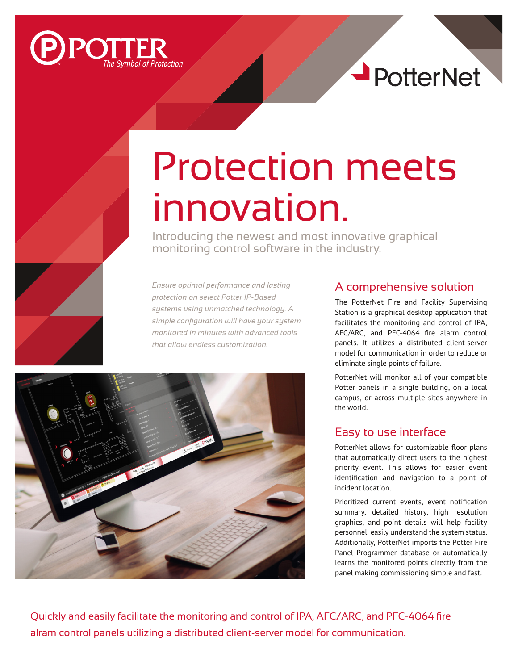



## Protection meets innovation.

Introducing the newest and most innovative graphical monitoring control software in the industry.

*Ensure optimal performance and lasting protection on select Potter IP-Based systems using unmatched technology. A simple configuration will have your system monitored in minutes with advanced tools that allow endless customization.*



## A comprehensive solution

The PotterNet Fire and Facility Supervising Station is a graphical desktop application that facilitates the monitoring and control of IPA, AFC/ARC, and PFC-4064 fire alarm control panels. It utilizes a distributed client-server model for communication in order to reduce or eliminate single points of failure.

PotterNet will monitor all of your compatible Potter panels in a single building, on a local campus, or across multiple sites anywhere in the world.

## Easy to use interface

PotterNet allows for customizable floor plans that automatically direct users to the highest priority event. This allows for easier event identification and navigation to a point of incident location.

Prioritized current events, event notification summary, detailed history, high resolution graphics, and point details will help facility personnel easily understand the system status. Additionally, PotterNet imports the Potter Fire Panel Programmer database or automatically learns the monitored points directly from the panel making commissioning simple and fast.

Quickly and easily facilitate the monitoring and control of IPA, AFC/ARC, and PFC-4064 fire alram control panels utilizing a distributed client-server model for communication.